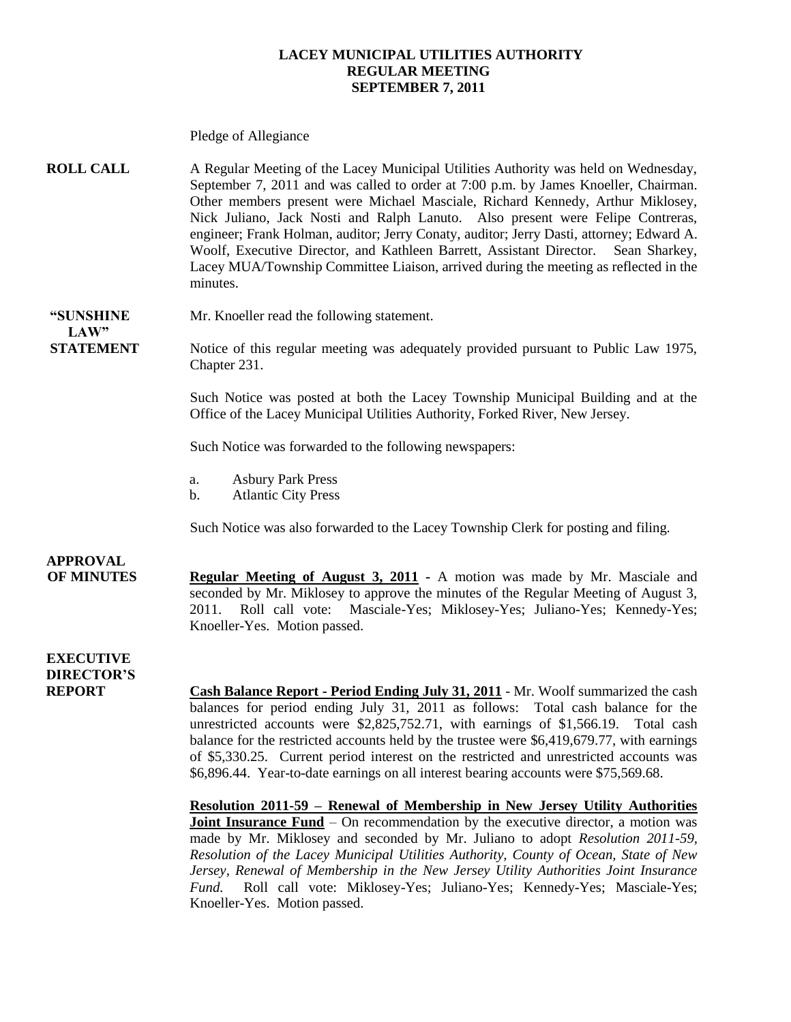#### **LACEY MUNICIPAL UTILITIES AUTHORITY REGULAR MEETING SEPTEMBER 7, 2011**

Pledge of Allegiance

**ROLL CALL** A Regular Meeting of the Lacey Municipal Utilities Authority was held on Wednesday, September 7, 2011 and was called to order at 7:00 p.m. by James Knoeller, Chairman. Other members present were Michael Masciale, Richard Kennedy, Arthur Miklosey, Nick Juliano, Jack Nosti and Ralph Lanuto. Also present were Felipe Contreras, engineer; Frank Holman, auditor; Jerry Conaty, auditor; Jerry Dasti, attorney; Edward A. Woolf, Executive Director, and Kathleen Barrett, Assistant Director. Sean Sharkey, Lacey MUA/Township Committee Liaison, arrived during the meeting as reflected in the minutes.

**"SUNSHINE** Mr. Knoeller read the following statement.

**STATEMENT** Notice of this regular meeting was adequately provided pursuant to Public Law 1975, Chapter 231.

> Such Notice was posted at both the Lacey Township Municipal Building and at the Office of the Lacey Municipal Utilities Authority, Forked River, New Jersey.

Such Notice was forwarded to the following newspapers:

- a. Asbury Park Press
- b. Atlantic City Press

Such Notice was also forwarded to the Lacey Township Clerk for posting and filing.

### **APPROVAL**

 $LAW"$ 

**OF MINUTES Regular Meeting of August 3, 2011 -** A motion was made by Mr. Masciale and seconded by Mr. Miklosey to approve the minutes of the Regular Meeting of August 3, 2011. Roll call vote: Masciale-Yes; Miklosey-Yes; Juliano-Yes; Kennedy-Yes; Knoeller-Yes. Motion passed.

#### **EXECUTIVE DIRECTOR'S**

**REPORT Cash Balance Report - Period Ending July 31, 2011** - Mr. Woolf summarized the cash balances for period ending July 31, 2011 as follows: Total cash balance for the unrestricted accounts were \$2,825,752.71, with earnings of \$1,566.19. Total cash balance for the restricted accounts held by the trustee were \$6,419,679.77, with earnings of \$5,330.25. Current period interest on the restricted and unrestricted accounts was \$6,896.44. Year-to-date earnings on all interest bearing accounts were \$75,569.68.

> **Resolution 2011-59 – Renewal of Membership in New Jersey Utility Authorities Joint Insurance Fund** – On recommendation by the executive director, a motion was made by Mr. Miklosey and seconded by Mr. Juliano to adopt *Resolution 2011-59, Resolution of the Lacey Municipal Utilities Authority, County of Ocean, State of New Jersey, Renewal of Membership in the New Jersey Utility Authorities Joint Insurance Fund.* Roll call vote: Miklosey-Yes; Juliano-Yes; Kennedy-Yes; Masciale-Yes; Knoeller-Yes. Motion passed.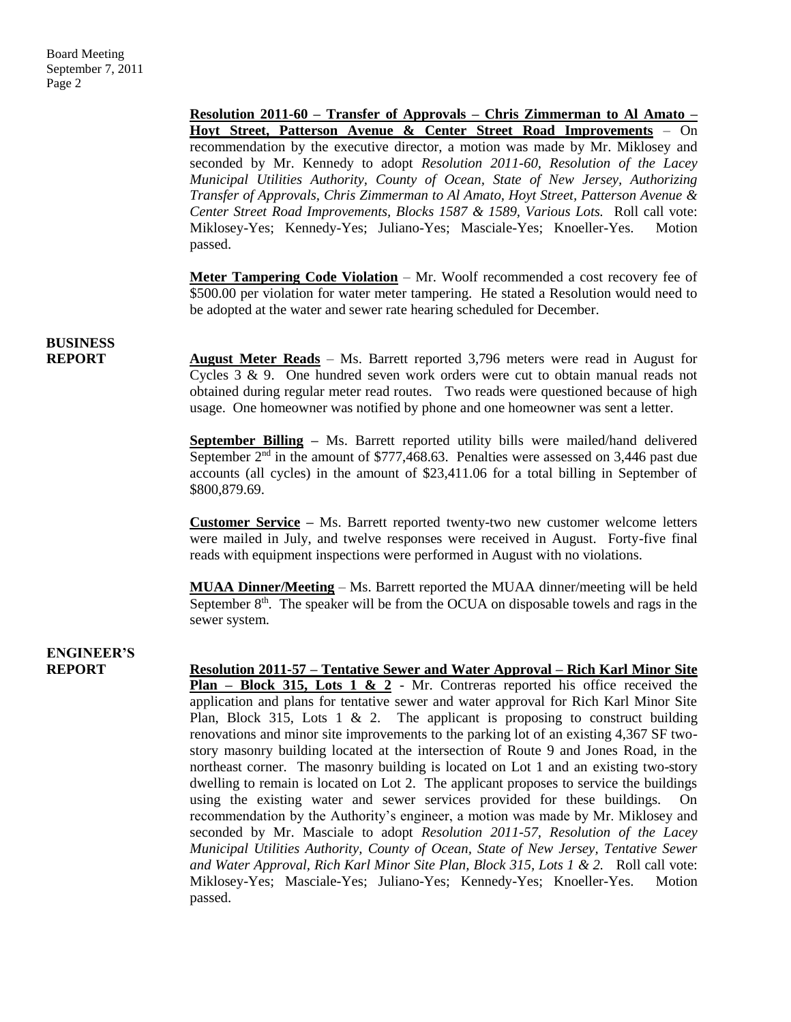**Resolution 2011-60 – Transfer of Approvals – Chris Zimmerman to Al Amato – Hoyt Street, Patterson Avenue & Center Street Road Improvements** – On recommendation by the executive director, a motion was made by Mr. Miklosey and seconded by Mr. Kennedy to adopt *Resolution 2011-60, Resolution of the Lacey Municipal Utilities Authority, County of Ocean, State of New Jersey, Authorizing Transfer of Approvals, Chris Zimmerman to Al Amato, Hoyt Street, Patterson Avenue & Center Street Road Improvements, Blocks 1587 & 1589, Various Lots.* Roll call vote: Miklosey-Yes; Kennedy-Yes; Juliano-Yes; Masciale-Yes; Knoeller-Yes. Motion passed.

**Meter Tampering Code Violation** – Mr. Woolf recommended a cost recovery fee of \$500.00 per violation for water meter tampering. He stated a Resolution would need to be adopted at the water and sewer rate hearing scheduled for December.

## **BUSINESS**

**REPORT** August Meter Reads – Ms. Barrett reported 3,796 meters were read in August for Cycles 3 & 9. One hundred seven work orders were cut to obtain manual reads not obtained during regular meter read routes. Two reads were questioned because of high usage. One homeowner was notified by phone and one homeowner was sent a letter.

> **September Billing –** Ms. Barrett reported utility bills were mailed/hand delivered September  $2<sup>nd</sup>$  in the amount of \$777,468.63. Penalties were assessed on 3,446 past due accounts (all cycles) in the amount of \$23,411.06 for a total billing in September of \$800,879.69.

> **Customer Service –** Ms. Barrett reported twenty-two new customer welcome letters were mailed in July, and twelve responses were received in August. Forty-five final reads with equipment inspections were performed in August with no violations.

> **MUAA Dinner/Meeting** – Ms. Barrett reported the MUAA dinner/meeting will be held September  $8<sup>th</sup>$ . The speaker will be from the OCUA on disposable towels and rags in the sewer system.

## **ENGINEER'S**

**REPORT Resolution 2011-57 – Tentative Sewer and Water Approval – Rich Karl Minor Site Plan – Block 315, Lots 1 & 2** - Mr. Contreras reported his office received the application and plans for tentative sewer and water approval for Rich Karl Minor Site Plan, Block 315, Lots 1  $\&$  2. The applicant is proposing to construct building renovations and minor site improvements to the parking lot of an existing 4,367 SF twostory masonry building located at the intersection of Route 9 and Jones Road, in the northeast corner. The masonry building is located on Lot 1 and an existing two-story dwelling to remain is located on Lot 2. The applicant proposes to service the buildings using the existing water and sewer services provided for these buildings. On recommendation by the Authority's engineer, a motion was made by Mr. Miklosey and seconded by Mr. Masciale to adopt *Resolution 2011-57, Resolution of the Lacey Municipal Utilities Authority, County of Ocean, State of New Jersey, Tentative Sewer and Water Approval, Rich Karl Minor Site Plan, Block 315, Lots 1 & 2.* Roll call vote: Miklosey-Yes; Masciale-Yes; Juliano-Yes; Kennedy-Yes; Knoeller-Yes. Motion passed.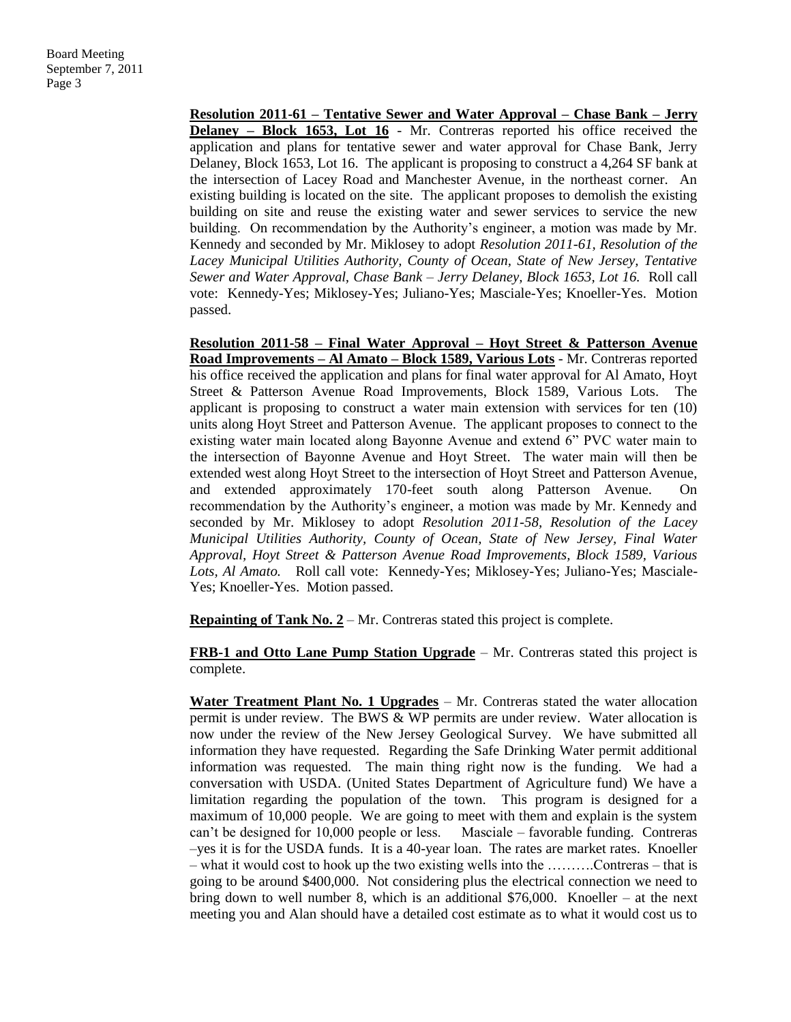**Resolution 2011-61 – Tentative Sewer and Water Approval – Chase Bank – Jerry Delaney – Block 1653, Lot 16** - Mr. Contreras reported his office received the application and plans for tentative sewer and water approval for Chase Bank, Jerry Delaney, Block 1653, Lot 16. The applicant is proposing to construct a 4,264 SF bank at the intersection of Lacey Road and Manchester Avenue, in the northeast corner. An existing building is located on the site. The applicant proposes to demolish the existing building on site and reuse the existing water and sewer services to service the new building. On recommendation by the Authority's engineer, a motion was made by Mr. Kennedy and seconded by Mr. Miklosey to adopt *Resolution 2011-61, Resolution of the Lacey Municipal Utilities Authority, County of Ocean, State of New Jersey, Tentative Sewer and Water Approval, Chase Bank – Jerry Delaney, Block 1653, Lot 16.* Roll call vote: Kennedy-Yes; Miklosey-Yes; Juliano-Yes; Masciale-Yes; Knoeller-Yes. Motion passed.

**Resolution 2011-58 – Final Water Approval – Hoyt Street & Patterson Avenue Road Improvements – Al Amato – Block 1589, Various Lots** - Mr. Contreras reported his office received the application and plans for final water approval for Al Amato, Hoyt Street & Patterson Avenue Road Improvements, Block 1589, Various Lots. The applicant is proposing to construct a water main extension with services for ten (10) units along Hoyt Street and Patterson Avenue. The applicant proposes to connect to the existing water main located along Bayonne Avenue and extend 6" PVC water main to the intersection of Bayonne Avenue and Hoyt Street. The water main will then be extended west along Hoyt Street to the intersection of Hoyt Street and Patterson Avenue, and extended approximately 170-feet south along Patterson Avenue. On recommendation by the Authority's engineer, a motion was made by Mr. Kennedy and seconded by Mr. Miklosey to adopt *Resolution 2011-58, Resolution of the Lacey Municipal Utilities Authority, County of Ocean, State of New Jersey, Final Water Approval, Hoyt Street & Patterson Avenue Road Improvements, Block 1589, Various Lots, Al Amato.* Roll call vote: Kennedy-Yes; Miklosey-Yes; Juliano-Yes; Masciale-Yes; Knoeller-Yes. Motion passed.

**Repainting of Tank No. 2** – Mr. Contreras stated this project is complete.

**FRB-1 and Otto Lane Pump Station Upgrade** – Mr. Contreras stated this project is complete.

**Water Treatment Plant No. 1 Upgrades** – Mr. Contreras stated the water allocation permit is under review. The BWS & WP permits are under review. Water allocation is now under the review of the New Jersey Geological Survey. We have submitted all information they have requested. Regarding the Safe Drinking Water permit additional information was requested. The main thing right now is the funding. We had a conversation with USDA. (United States Department of Agriculture fund) We have a limitation regarding the population of the town. This program is designed for a maximum of 10,000 people. We are going to meet with them and explain is the system can't be designed for 10,000 people or less. Masciale – favorable funding. Contreras –yes it is for the USDA funds. It is a 40-year loan. The rates are market rates. Knoeller – what it would cost to hook up the two existing wells into the ……….Contreras – that is going to be around \$400,000. Not considering plus the electrical connection we need to bring down to well number 8, which is an additional  $$76,000$ . Knoeller – at the next meeting you and Alan should have a detailed cost estimate as to what it would cost us to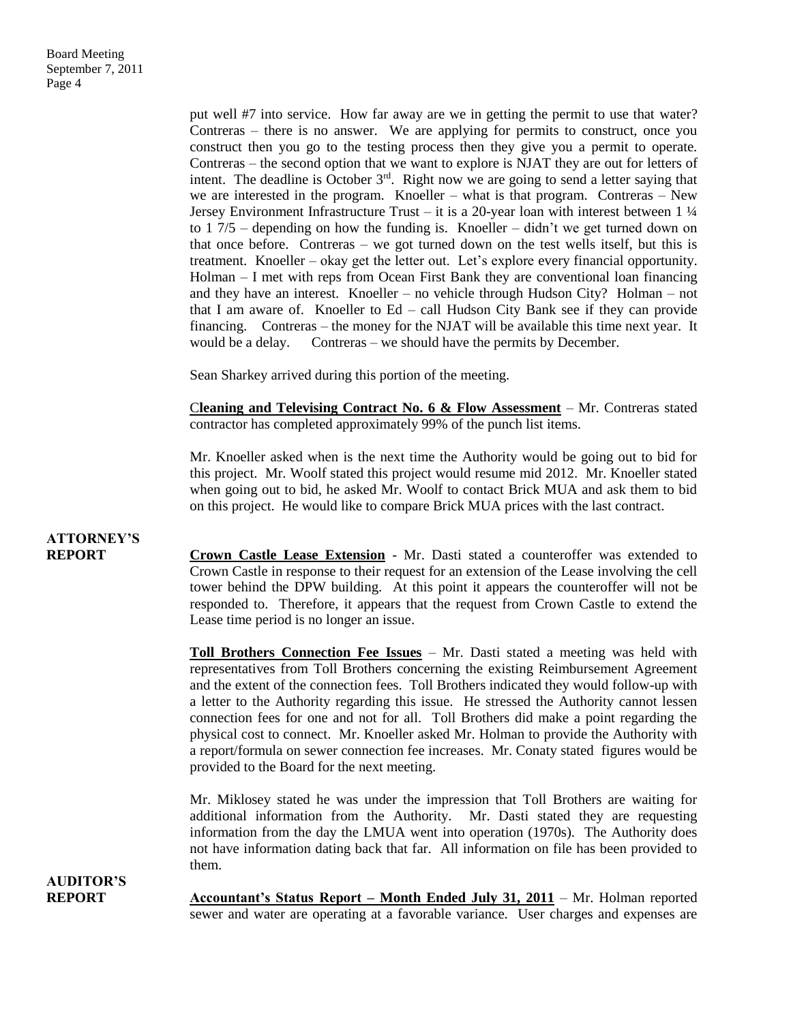put well #7 into service. How far away are we in getting the permit to use that water? Contreras – there is no answer. We are applying for permits to construct, once you construct then you go to the testing process then they give you a permit to operate. Contreras – the second option that we want to explore is NJAT they are out for letters of intent. The deadline is October  $3<sup>rd</sup>$ . Right now we are going to send a letter saying that we are interested in the program. Knoeller – what is that program. Contreras – New Jersey Environment Infrastructure Trust – it is a 20-year loan with interest between  $1\frac{1}{4}$ to  $17/5$  – depending on how the funding is. Knoeller – didn't we get turned down on that once before. Contreras – we got turned down on the test wells itself, but this is treatment. Knoeller – okay get the letter out. Let's explore every financial opportunity. Holman – I met with reps from Ocean First Bank they are conventional loan financing and they have an interest. Knoeller – no vehicle through Hudson City? Holman – not that I am aware of. Knoeller to Ed – call Hudson City Bank see if they can provide financing. Contreras – the money for the NJAT will be available this time next year. It would be a delay. Contreras – we should have the permits by December.

Sean Sharkey arrived during this portion of the meeting.

C**leaning and Televising Contract No. 6 & Flow Assessment** – Mr. Contreras stated contractor has completed approximately 99% of the punch list items.

Mr. Knoeller asked when is the next time the Authority would be going out to bid for this project. Mr. Woolf stated this project would resume mid 2012. Mr. Knoeller stated when going out to bid, he asked Mr. Woolf to contact Brick MUA and ask them to bid on this project. He would like to compare Brick MUA prices with the last contract.

## **ATTORNEY'S**

**REPORT Crown Castle Lease Extension** - Mr. Dasti stated a counteroffer was extended to Crown Castle in response to their request for an extension of the Lease involving the cell tower behind the DPW building. At this point it appears the counteroffer will not be responded to. Therefore, it appears that the request from Crown Castle to extend the Lease time period is no longer an issue.

> **Toll Brothers Connection Fee Issues** – Mr. Dasti stated a meeting was held with representatives from Toll Brothers concerning the existing Reimbursement Agreement and the extent of the connection fees. Toll Brothers indicated they would follow-up with a letter to the Authority regarding this issue. He stressed the Authority cannot lessen connection fees for one and not for all. Toll Brothers did make a point regarding the physical cost to connect. Mr. Knoeller asked Mr. Holman to provide the Authority with a report/formula on sewer connection fee increases. Mr. Conaty stated figures would be provided to the Board for the next meeting.

> Mr. Miklosey stated he was under the impression that Toll Brothers are waiting for additional information from the Authority. Mr. Dasti stated they are requesting information from the day the LMUA went into operation (1970s). The Authority does not have information dating back that far. All information on file has been provided to them.

**AUDITOR'S**

**REPORT Accountant's Status Report – Month Ended July 31, 2011** – Mr. Holman reported sewer and water are operating at a favorable variance. User charges and expenses are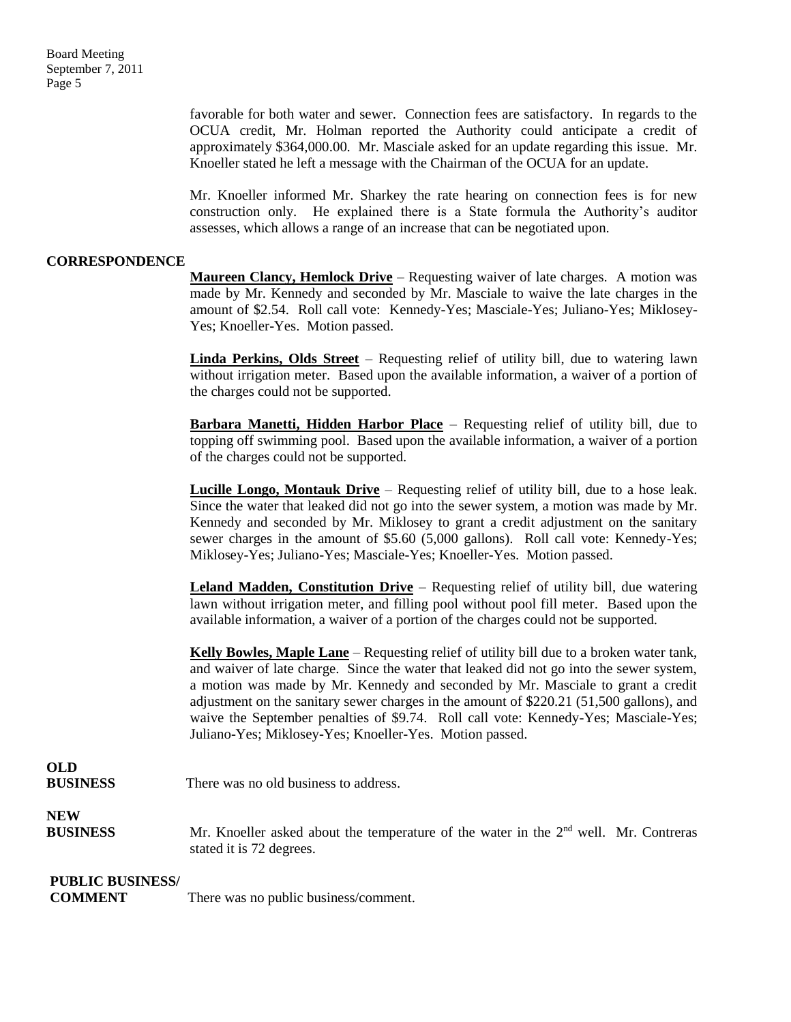favorable for both water and sewer. Connection fees are satisfactory. In regards to the OCUA credit, Mr. Holman reported the Authority could anticipate a credit of approximately \$364,000.00. Mr. Masciale asked for an update regarding this issue. Mr. Knoeller stated he left a message with the Chairman of the OCUA for an update.

Mr. Knoeller informed Mr. Sharkey the rate hearing on connection fees is for new construction only. He explained there is a State formula the Authority's auditor assesses, which allows a range of an increase that can be negotiated upon.

#### **CORRESPONDENCE**

**Maureen Clancy, Hemlock Drive** – Requesting waiver of late charges. A motion was made by Mr. Kennedy and seconded by Mr. Masciale to waive the late charges in the amount of \$2.54. Roll call vote: Kennedy-Yes; Masciale-Yes; Juliano-Yes; Miklosey-Yes; Knoeller-Yes. Motion passed.

**Linda Perkins, Olds Street** – Requesting relief of utility bill, due to watering lawn without irrigation meter. Based upon the available information, a waiver of a portion of the charges could not be supported.

**Barbara Manetti, Hidden Harbor Place** – Requesting relief of utility bill, due to topping off swimming pool. Based upon the available information, a waiver of a portion of the charges could not be supported.

**Lucille Longo, Montauk Drive** – Requesting relief of utility bill, due to a hose leak. Since the water that leaked did not go into the sewer system, a motion was made by Mr. Kennedy and seconded by Mr. Miklosey to grant a credit adjustment on the sanitary sewer charges in the amount of \$5.60 (5,000 gallons). Roll call vote: Kennedy-Yes; Miklosey-Yes; Juliano-Yes; Masciale-Yes; Knoeller-Yes. Motion passed.

**Leland Madden, Constitution Drive** – Requesting relief of utility bill, due watering lawn without irrigation meter, and filling pool without pool fill meter. Based upon the available information, a waiver of a portion of the charges could not be supported.

**Kelly Bowles, Maple Lane** – Requesting relief of utility bill due to a broken water tank, and waiver of late charge. Since the water that leaked did not go into the sewer system, a motion was made by Mr. Kennedy and seconded by Mr. Masciale to grant a credit adjustment on the sanitary sewer charges in the amount of \$220.21 (51,500 gallons), and waive the September penalties of \$9.74. Roll call vote: Kennedy-Yes; Masciale-Yes; Juliano-Yes; Miklosey-Yes; Knoeller-Yes. Motion passed.

### **OLD**

**BUSINESS** There was no old business to address.

**NEW** 

**BUSINESS** Mr. Knoeller asked about the temperature of the water in the 2<sup>nd</sup> well. Mr. Contreras stated it is 72 degrees.

#### **PUBLIC BUSINESS/**

**COMMENT** There was no public business/comment.